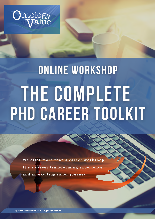

# ONLINE WORKSHOP THE COMPLETE PHD CAREER TOOLKIT

We offer more than a career workshop. It's a career transforming experience and an exciting inner journey.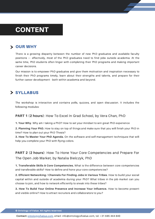# CONTENT

#### **> OUR WHY**

There is a growing disparity between the number of new PhD graduates and available faculty positions — effectively, most of the PhD graduates need to find jobs outside academia. At the same time, PhD students often linger with completing their PhD programs and making important career decisions.

Our mission is to empower PhD graduates and give them motivation and inspiration necessary to finish their PhD programs timely, learn about their strengths and talents, and prepare for their further career development - both within academia and beyond.

#### > SYLLABUS

The workshop is interactive and contains polls, quizzes, and open discussion. It includes the following modules:

#### **PART 1 (2 hours)**: How To Excel In Grad School, by Vera Chan, PhD

**1. Your Why**. Why am I taking a PhD? How to set your mindset to win great PhD experience

**2. Planning Your PhD.** How to stay on top of things and make sure that you will finish your PhD in time? How to plan out your PhD Thesis?

**3. How To Master Your PhD Agenda.** On the software and self-management techniques that will help you complete your PhD with flying colors.

#### **PART 2 (2 hours)**: How To Hone Your Core Competencies and Prepare For The Open Job Market, by Natalia Bielczyk, PhD

**1. Transferable Skills & Core Competencies.** What is the difference between core competencies and transferable skills? How to define and hone your core competencies?

**2. Efficient Networking / Channels For Finding Jobs in Various Tribes**. How to build your social capital within and outside of academia during your PhD? What tribes in the job market can you choose to join, and how to network efficiently to sneak into these tribes?

**3. How To Build Your Online Presence and Increase Your Influence.** How to become present and visible online? How to attract recruiters and collaborators to you?

© Ontology of Value. All rights reserved.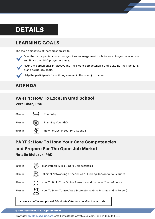# DETAILS

## LEARNING GOALS

The main objectives of the workshop are to:



Give the participants a broad range of self-management tools to excel in graduate school and finish their PhD programs timely,



Help the participants in discovering their core competencies and building their personal brand as professionals,

Help the participants for building careers in the open job market.

## AGENDA

## PART 1: How To Excel In Grad School

#### Vera Chan, PhD



Your Why

Planning Your PhD

60 min

How To Master Your PhD Agenda

## PART 2: How To Hone Your Core Competencies and Prepare For The Open Job Market Natalia Bielczyk, PhD



We also offer an optional 30-minute Q&A session after the workshop.

© Ontology of Value. All rights reserved.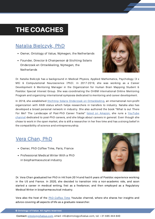# THE COACHES

## Natalia Bielczyk, PhD

- Owner, Ontology of Value, Nijmegen, the Netherlands
- Founder, Director & Chairperson @ Stichting Solaris Onderzoek en Ontwikkeling, Nijmegen, the **Netherlands**

Dr. Natalia Bielczyk has a background in Medical Physics, Applied Mathematics, Psychology (3 x MS) & Computational Neuroscience (PhD). In 2017-2019, she was working as a Career Development & Mentoring Manager in the Organization for Human Brain Mapping Student & Postdoc Special Interest Group. She was coordinating the OHBM International Online Mentoring Program and organizing international symposia dedicated to mentoring and career development.

In 2018, she established Stichting Solaris Onderzoek en [Ontwikkeling,](https://stichting-solaris.github.io/) an international non-profit organization with ANBI status which helps researchers in transfers to industry. Natalia also has developed a broad personal network in industry. She also authored the book "What Is out There For Me? The [Landscape](https://www.youtube.com/channel/UCxZo9iXwe_urP60kFlrpEHw) of Post-PhD Career Tracks" listed on [Amazon](https://www.amazon.com/dp/B08DD7GMH4), she runs a YouTube channel dedicated to post-PhD careers, and she blogs about careers in general. Even though she chose to work in the open market, she is still a researcher in her free time and has a strong belief in the compatibility of science and entrepreneurship.

## Vera [Chan,](https://www.linkedin.com/in/verabschan/) PhD

- Owner, PhD Coffee Time, Paris, France
- Professional Medical Writer With a PhD in biopharmaceutical industry

Dr. Vera Chan graduated her PhD in HK from 2014 and had 6 years of Postdoc experience working in the US and France. In 2020, she decided to transition into a non-academic role, and soon started a career in medical writing, first as a freelancer, and then employed as a Regulatory Medical Writer in biopharmaceutical industry.

Vera also the host of the PhD [Coffee](https://www.youtube.com/c/PhDCoffeeTime) Time Youtube channel, where she shares her insights and advice covering all aspects of life as a graduate researcher.

© Ontology of Value. All rights reserved.